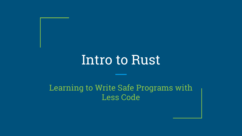# Intro to Rust

#### Learning to Write Safe Programs with Less Code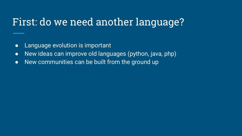# First: do we need another language?

- Language evolution is important
- New ideas can improve old languages (python, java, php)
- $\bullet$  New communities can be built from the ground up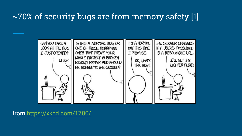#### ~70% of security bugs are from memory safety [1]



from <https://xkcd.com/1700/>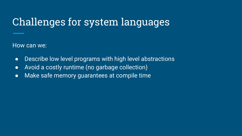# Challenges for system languages

How can we:

- Describe low level programs with high level abstractions
- Avoid a costly runtime (no garbage collection)
- Make safe memory guarantees at compile time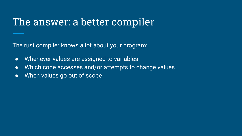#### The answer: a better compiler

The rust compiler knows a lot about your program:

- Whenever values are assigned to variables
- Which code accesses and/or attempts to change values
- When values go out of scope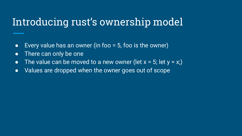### Introducing rust's ownership model

- $\bullet$  Every value has an owner (in foo = 5, foo is the owner)
- There can only be one
- The value can be moved to a new owner (let  $x = 5$ ; let  $y = x$ ;)
- Values are dropped when the owner goes out of scope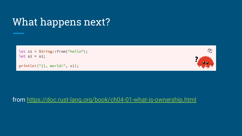# What happens next?

```
let s1 = String::from("hello");let s2 = s1;
```

```
println! ("{}, world!", s1);
```


#### from <https://doc.rust-lang.org/book/ch04-01-what-is-ownership.html>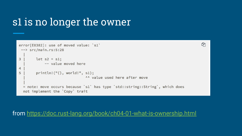# s1 is no longer the owner

```
error[E0382]: use of moved value: 's1'
 \leftarrow> src/main.rs:5:28
3
        let s2 = s1;
             -- value moved here
\overline{4}5
        printIn! ("{};, world!", s1);
                                 ^^ value used here after move
  = note: move occurs because 's1' has type 'std::string::String', which does
  not implement the `Copy` trait
```
ው

from <https://doc.rust-lang.org/book/ch04-01-what-is-ownership.html>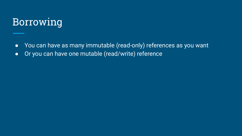### Borrowing

- You can have as many immutable (read-only) references as you want
- Or you can have one mutable (read/write) reference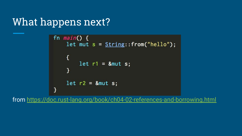### What happens next?

```
fn main() {
    let mut s = String::from("hello");
    ſ
        let r1 = 8mut s;ł
    let r2 = 8mut s;\mathcal{F}
```
from <https://doc.rust-lang.org/book/ch04-02-references-and-borrowing.html>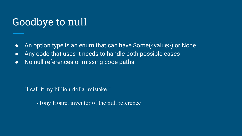# Goodbye to null

- An option type is an enum that can have Some(<value>) or None
- Any code that uses it needs to handle both possible cases
- No null references or missing code paths

"I call it my billion-dollar mistake."

-Tony Hoare, inventor of the null reference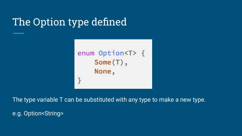# The Option type defined



The type variable T can be substituted with any type to make a new type.

e.g. Option<String>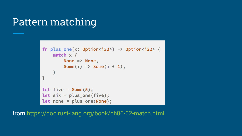# Pattern matching

```
fn plus_one(x: 0ption <i>is</i> 32) -> 0ption <i>is</i> 32 {
     match x \{None \Rightarrow None,
          Some(i) => Some(i + 1),
     \mathbf{R}\mathcal{F}let five = Some(5);let six = plus\_one(five);let none = plus-one(None);
```
from <https://doc.rust-lang.org/book/ch06-02-match.html>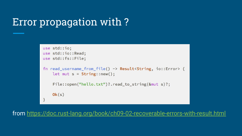## Error propagation with ?

```
use std::io;
use std::io::Read;
use std::fs::File;
fn read_username_from_file() -> Result < String, io::Error> {
    let mut s = String::new();
    File::open("hello.txt")?.read_to_string(&mut s)?;
   0k(s)
```
from <https://doc.rust-lang.org/book/ch09-02-recoverable-errors-with-result.html>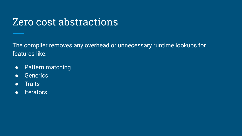### Zero cost abstractions

The compiler removes any overhead or unnecessary runtime lookups for features like:

- Pattern matching
- Generics
- Traits
- Iterators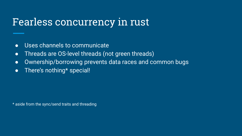#### Fearless concurrency in rust

- Uses channels to communicate
- Threads are OS-level threads (not green threads)
- Ownership/borrowing prevents data races and common bugs
- There's nothing\* special!

\* aside from the sync/send traits and threading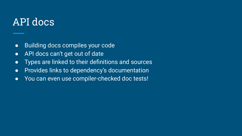#### API docs

- Building docs compiles your code
- API docs can't get out of date
- Types are linked to their definitions and sources
- Provides links to dependency's documentation
- You can even use compiler-checked doc tests!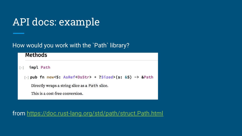# API docs: example

#### How would you work with the `Path` library?

#### **Methods**

- impl Path  $[-]$ 
	- $[-]$  pub fn new<S: AsRef<OsStr> + ?Sized>(s: &S) -> &Path

Directly wraps a string slice as a Path slice.

This is a cost-free conversion.

from <https://doc.rust-lang.org/std/path/struct.Path.html>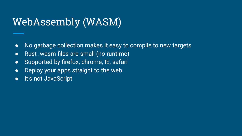# WebAssembly (WASM)

- No garbage collection makes it easy to compile to new targets
- Rust .wasm files are small (no runtime)
- Supported by firefox, chrome, IE, safari
- Deploy your apps straight to the web
- It's not JavaScript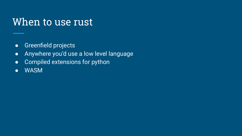#### When to use rust

- Greenfield projects
- Anywhere you'd use a low level language
- Compiled extensions for python
- WASM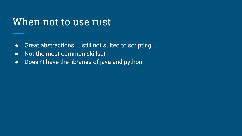#### When not to use rust

- Great abstractions! ...still not suited to scripting
- Not the most common skillset
- Doesn't have the libraries of java and python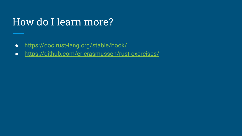# How do I learn more?

- <https://doc.rust-lang.org/stable/book/>
- <https://github.com/ericrasmussen/rust-exercises/>